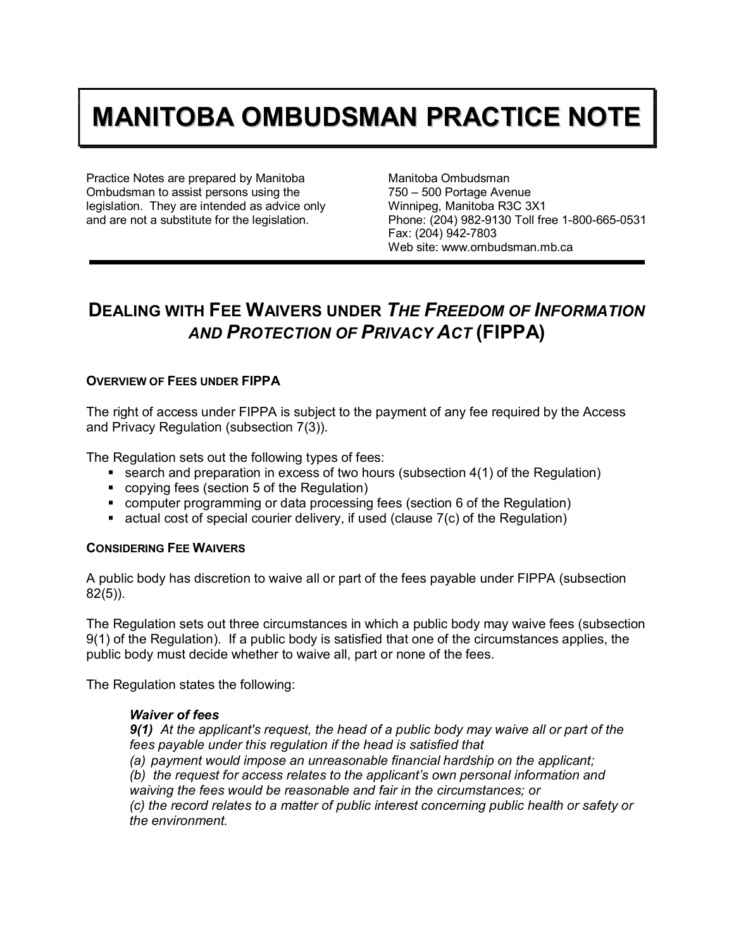# **MANITOBA OMBUDSMAN PRACTICE NOTE**

Practice Notes are prepared by Manitoba Ombudsman to assist persons using the legislation. They are intended as advice only and are not a substitute for the legislation.

Manitoba Ombudsman 750 – 500 Portage Avenue Winnipeg, Manitoba R3C 3X1 Phone: (204) 982-9130 Toll free 1-800-665-0531 Fax: (204) 942-7803 Web site: www.ombudsman.mb.ca

# **DEALING WITH FEE WAIVERS UNDER** *THE FREEDOM OF INFORMATION AND PROTECTION OF PRIVACY ACT* **(FIPPA)**

## **OVERVIEW OF FEES UNDER FIPPA**

The right of access under FIPPA is subject to the payment of any fee required by the Access and Privacy Regulation (subsection 7(3)).

The Regulation sets out the following types of fees:

- **Search and preparation in excess of two hours (subsection 4(1) of the Regulation)**
- copying fees (section 5 of the Regulation)
- **computer programming or data processing fees (section 6 of the Regulation)**
- $\blacksquare$  actual cost of special courier delivery, if used (clause 7(c) of the Regulation)

#### **CONSIDERING FEE WAIVERS**

A public body has discretion to waive all or part of the fees payable under FIPPA (subsection 82(5)).

The Regulation sets out three circumstances in which a public body may waive fees (subsection 9(1) of the Regulation). If a public body is satisfied that one of the circumstances applies, the public body must decide whether to waive all, part or none of the fees.

The Regulation states the following:

#### *Waiver of fees*

*9(1) At the applicant's request, the head of a public body may waive all or part of the fees payable under this regulation if the head is satisfied that (a) payment would impose an unreasonable financial hardship on the applicant; (b) the request for access relates to the applicant's own personal information and waiving the fees would be reasonable and fair in the circumstances; or*

*(c) the record relates to a matter of public interest concerning public health or safety or the environment.*